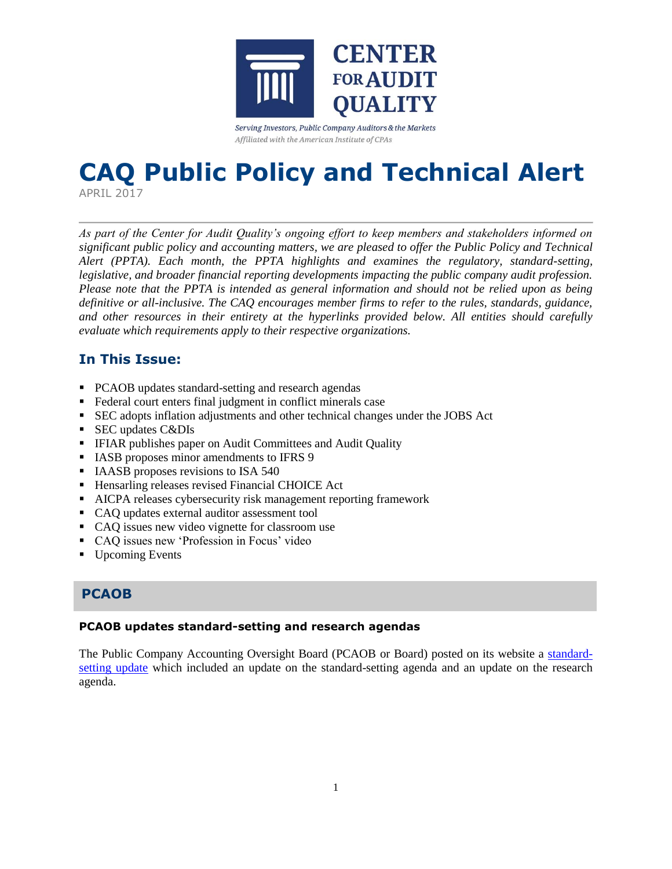

Serving Investors, Public Company Auditors & the Markets Affiliated with the American Institute of CPAs

# **CAQ Public Policy and Technical Alert**

APRIL 2017

*As part of the Center for Audit Quality's ongoing effort to keep members and stakeholders informed on significant public policy and accounting matters, we are pleased to offer the Public Policy and Technical Alert (PPTA). Each month, the PPTA highlights and examines the regulatory, standard-setting, legislative, and broader financial reporting developments impacting the public company audit profession. Please note that the PPTA is intended as general information and should not be relied upon as being definitive or all-inclusive. The CAQ encourages member firms to refer to the rules, standards, guidance, and other resources in their entirety at the hyperlinks provided below. All entities should carefully evaluate which requirements apply to their respective organizations.*

# **In This Issue:**

- PCAOB updates standard-setting and research agendas
- Federal court enters final judgment in conflict minerals case
- SEC adopts inflation adjustments and other technical changes under the JOBS Act
- SEC updates C&DIs
- **IFIAR publishes paper on Audit Committees and Audit Quality**
- **IASB** proposes minor amendments to IFRS 9
- **IAASB** proposes revisions to ISA 540
- **Hensarling releases revised Financial CHOICE Act**
- AICPA releases cybersecurity risk management reporting framework
- CAQ updates external auditor assessment tool
- CAQ issues new video vignette for classroom use
- CAQ issues new 'Profession in Focus' video
- Upcoming Events

# **PCAOB**

#### **PCAOB updates standard-setting and research agendas**

The Public Company Accounting Oversight Board (PCAOB or Board) posted on its website a [standard](https://pcaobus.org/Standards/Documents/Q22017-standard-setting-update.pdf)[setting update](https://pcaobus.org/Standards/Documents/Q22017-standard-setting-update.pdf) which included an update on the standard-setting agenda and an update on the research agenda.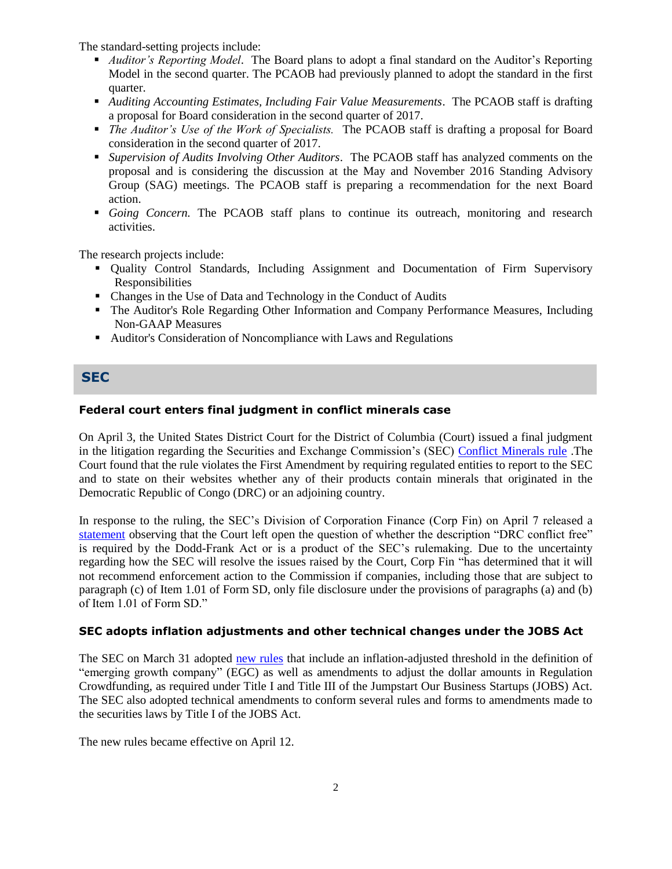The standard-setting projects include:

- *Auditor's Reporting Model*. The Board plans to adopt a final standard on the Auditor's Reporting Model in the second quarter. The PCAOB had previously planned to adopt the standard in the first quarter.
- *Auditing Accounting Estimates, Including Fair Value Measurements*. The PCAOB staff is drafting a proposal for Board consideration in the second quarter of 2017.
- *The Auditor's Use of the Work of Specialists.* The PCAOB staff is drafting a proposal for Board consideration in the second quarter of 2017.
- *Supervision of Audits Involving Other Auditors*. The PCAOB staff has analyzed comments on the proposal and is considering the discussion at the May and November 2016 Standing Advisory Group (SAG) meetings. The PCAOB staff is preparing a recommendation for the next Board action.
- *Going Concern.* The PCAOB staff plans to continue its outreach, monitoring and research activities.

The research projects include:

- Quality Control Standards, Including Assignment and Documentation of Firm Supervisory Responsibilities
- Changes in the Use of Data and Technology in the Conduct of Audits
- The Auditor's Role Regarding Other Information and Company Performance Measures, Including Non-GAAP Measures
- Auditor's Consideration of Noncompliance with Laws and Regulations

#### **SEC**

#### **Federal court enters final judgment in conflict minerals case**

On April 3, the United States District Court for the District of Columbia (Court) issued a final judgment in the litigation regarding the Securities and Exchange Commission's (SEC) [Conflict Minerals rule](https://www.sec.gov/rules/final/2012/34-67716.pdf) .The Court found that the rule violates the First Amendment by requiring regulated entities to report to the SEC and to state on their websites whether any of their products contain minerals that originated in the Democratic Republic of Congo (DRC) or an adjoining country.

In response to the ruling, the SEC's Division of Corporation Finance (Corp Fin) on April 7 released a [statement](https://www.sec.gov/news/public-statement/corpfin-updated-statement-court-decision-conflict-minerals-rule) observing that the Court left open the question of whether the description "DRC conflict free" is required by the Dodd-Frank Act or is a product of the SEC's rulemaking. Due to the uncertainty regarding how the SEC will resolve the issues raised by the Court, Corp Fin "has determined that it will not recommend enforcement action to the Commission if companies, including those that are subject to paragraph (c) of Item 1.01 of Form SD, only file disclosure under the provisions of paragraphs (a) and (b) of Item 1.01 of Form SD."

#### **SEC adopts inflation adjustments and other technical changes under the JOBS Act**

The SEC on March 31 adopted [new rules](https://www.sec.gov/rules/final/2017/33-10332.pdf) that include an inflation-adjusted threshold in the definition of "emerging growth company" (EGC) as well as amendments to adjust the dollar amounts in Regulation Crowdfunding, as required under Title I and Title III of the Jumpstart Our Business Startups (JOBS) Act. The SEC also adopted technical amendments to conform several rules and forms to amendments made to the securities laws by Title I of the JOBS Act.

The new rules became effective on April 12.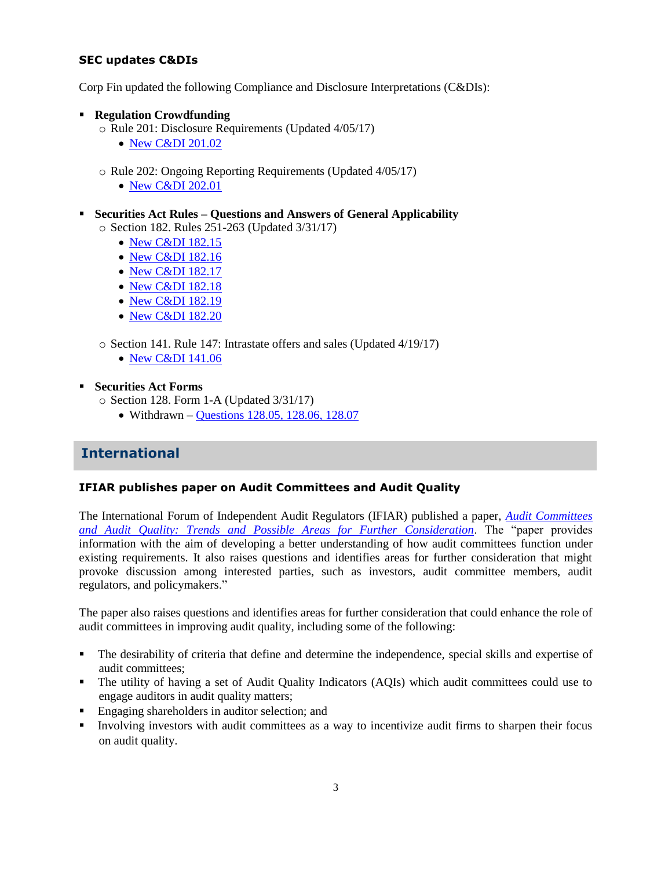#### **SEC updates C&DIs**

Corp Fin updated the following Compliance and Disclosure Interpretations (C&DIs):

- **Regulation Crowdfunding** 
	- o Rule 201: Disclosure Requirements (Updated 4/05/17)
		- [New C&DI 201.02](https://www.sec.gov/divisions/corpfin/guidance/reg-crowdfunding-interps.htm#201.02)
	- o Rule 202: Ongoing Reporting Requirements (Updated 4/05/17)
		- [New C&DI 202.01](https://www.sec.gov/divisions/corpfin/guidance/reg-crowdfunding-interps.htm#202.01)
- **Securities Act Rules – Questions and Answers of General Applicability** o Section 182. Rules 251-263 (Updated 3/31/17)
	-
	- [New C&DI 182.15](https://www.sec.gov/divisions/corpfin/guidance/securitiesactrules-interps.htm#182.15)
	- [New C&DI 182.16](https://www.sec.gov/divisions/corpfin/guidance/securitiesactrules-interps.htm#182.16)
	- [New C&DI 182.17](https://www.sec.gov/divisions/corpfin/guidance/securitiesactrules-interps.htm#182.17)
	- [New C&DI 182.18](https://www.sec.gov/divisions/corpfin/guidance/securitiesactrules-interps.htm#182.18)
	- [New C&DI 182.19](https://www.sec.gov/divisions/corpfin/guidance/securitiesactrules-interps.htm#182.19)
	- [New C&DI 182.20](https://www.sec.gov/divisions/corpfin/guidance/securitiesactrules-interps.htm#182.20)

o Section 141. Rule 147: Intrastate offers and sales (Updated 4/19/17)

- [New C&DI 141.06](https://www.sec.gov/divisions/corpfin/guidance/securitiesactrules-interps.htm#141.06)
- **Securities Act Forms**
	- o Section 128. Form 1-A (Updated 3/31/17)
		- Withdrawn [Questions 128.05, 128.06, 128.07](https://www.sec.gov/divisions/corpfin/guidance/safinterp.htm#128.05)

## **International**

#### **IFIAR publishes paper on Audit Committees and Audit Quality**

The International Forum of Independent Audit Regulators (IFIAR) published a paper, *[Audit Committees](https://www.ifiar.org/IFIAR/media/Documents/IFIARMembersArea/PlenaryMeetings/September%202012%20(London)/Final_Audit-Committees-and-Audit-Quality-Paper_07042017-clean_1.pdf)  [and Audit Quality: Trends and Possible Areas for Further Consideration](https://www.ifiar.org/IFIAR/media/Documents/IFIARMembersArea/PlenaryMeetings/September%202012%20(London)/Final_Audit-Committees-and-Audit-Quality-Paper_07042017-clean_1.pdf)*. The "paper provides information with the aim of developing a better understanding of how audit committees function under existing requirements. It also raises questions and identifies areas for further consideration that might provoke discussion among interested parties, such as investors, audit committee members, audit regulators, and policymakers."

The paper also raises questions and identifies areas for further consideration that could enhance the role of audit committees in improving audit quality, including some of the following:

- The desirability of criteria that define and determine the independence, special skills and expertise of audit committees;
- The utility of having a set of Audit Quality Indicators (AQIs) which audit committees could use to engage auditors in audit quality matters;
- Engaging shareholders in auditor selection; and
- Involving investors with audit committees as a way to incentivize audit firms to sharpen their focus on audit quality.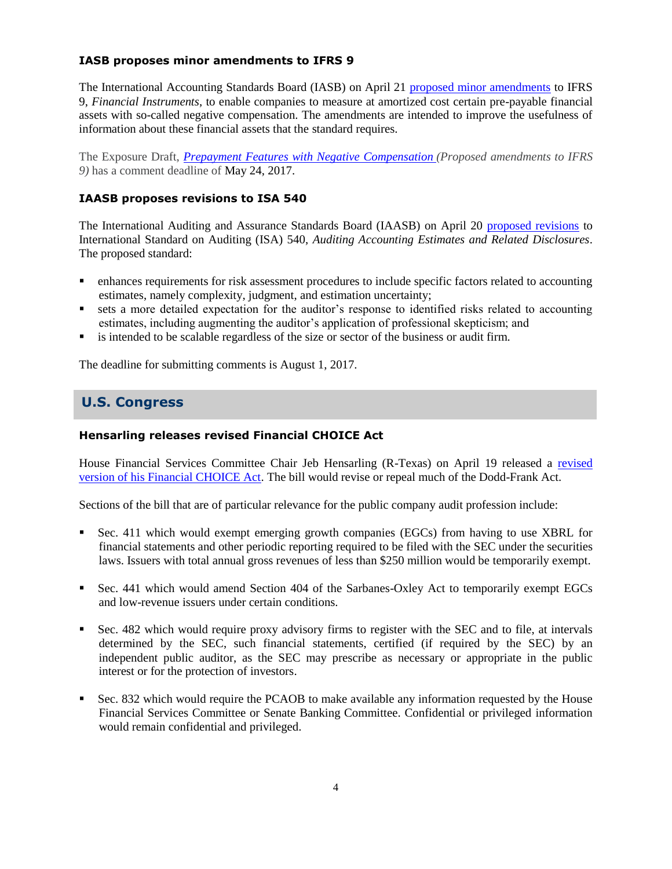#### **IASB proposes minor amendments to IFRS 9**

The International Accounting Standards Board (IASB) on April 21 [proposed minor amendments](http://www.ifrs.org/Alerts/ProjectUpdate/Pages/iasb-proposes-minor-amendments-to-ifrs-9-to-aid-implementation.aspx) to IFRS 9, *Financial Instruments*, to enable companies to measure at amortized cost certain pre-payable financial assets with so-called negative compensation. The amendments are intended to improve the usefulness of information about these financial assets that the standard requires.

The Exposure Draft, *[Prepayment Features with Negative Compensation](http://www.ifrs.org/Current-Projects/IASB-Projects/Symmetric%20Prepayment%20Options/Pages/exposure-draft-and-comment-letters.aspx) (Proposed amendments to IFRS 9)* has a comment deadline of May 24, 2017.

#### **IAASB proposes revisions to ISA 540**

The International Auditing and Assurance Standards Board (IAASB) on April 20 [proposed revisions](http://www.ifac.org/publications-resources/proposed-international-standard-auditing-540-revised-auditing-accounting) to International Standard on Auditing (ISA) 540, *Auditing Accounting Estimates and Related Disclosures*. The proposed standard:

- enhances requirements for risk assessment procedures to include specific factors related to accounting estimates, namely complexity, judgment, and estimation uncertainty;
- sets a more detailed expectation for the auditor's response to identified risks related to accounting estimates, including augmenting the auditor's application of professional skepticism; and
- is intended to be scalable regardless of the size or sector of the business or audit firm.

The deadline for submitting comments is August 1, 2017.

# **Hensarling releases revised Financial CHOICE Act U.S. Congress**

#### **Hensarling releases revised Financial CHOICE Act**

House Financial Services Committee Chair Jeb Hensarling (R-Texas) on April 19 released a [revised](https://financialservices.house.gov/uploadedfiles/choice_2.0_discussion_draft.pdf)  [version of his Financial CHOICE Act.](https://financialservices.house.gov/uploadedfiles/choice_2.0_discussion_draft.pdf) The bill would revise or repeal much of the Dodd-Frank Act.

Sections of the bill that are of particular relevance for the public company audit profession include:

- Sec. 411 which would exempt emerging growth companies (EGCs) from having to use XBRL for financial statements and other periodic reporting required to be filed with the SEC under the securities laws. Issuers with total annual gross revenues of less than \$250 million would be temporarily exempt.
- Sec. 441 which would amend Section 404 of the Sarbanes-Oxley Act to temporarily exempt EGCs and low-revenue issuers under certain conditions.
- Sec. 482 which would require proxy advisory firms to register with the SEC and to file, at intervals determined by the SEC, such financial statements, certified (if required by the SEC) by an independent public auditor, as the SEC may prescribe as necessary or appropriate in the public interest or for the protection of investors.
- Sec. 832 which would require the PCAOB to make available any information requested by the House Financial Services Committee or Senate Banking Committee. Confidential or privileged information would remain confidential and privileged.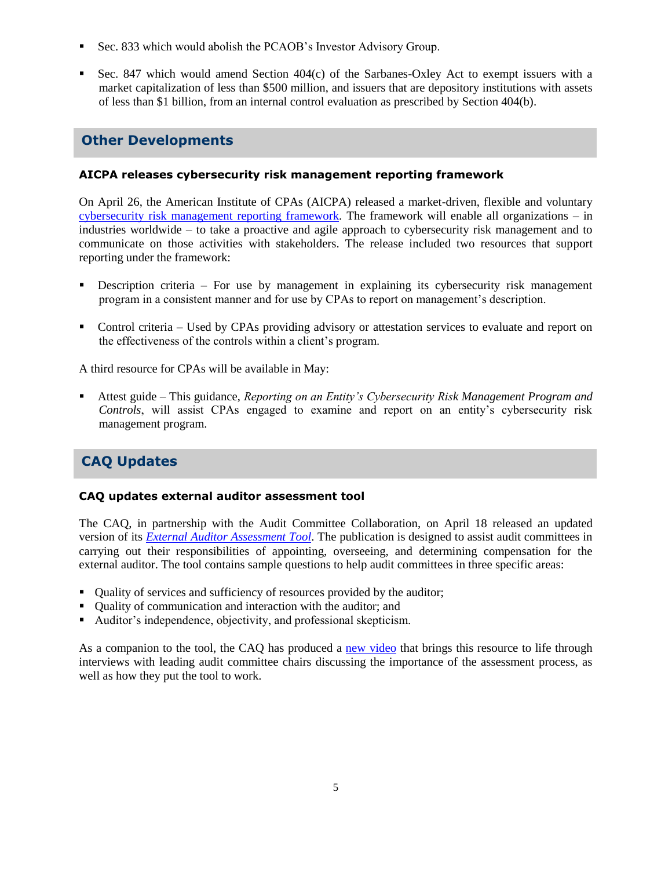- Sec. 833 which would abolish the PCAOB's Investor Advisory Group.
- Sec. 847 which would amend Section 404(c) of the Sarbanes-Oxley Act to exempt issuers with a market capitalization of less than \$500 million, and issuers that are depository institutions with assets of less than \$1 billion, from an internal control evaluation as prescribed by Section 404(b).

## **Other Developments**

#### **AICPA releases cybersecurity risk management reporting framework**

On April 26, the American Institute of CPAs (AICPA) released a market-driven, flexible and voluntary [cybersecurity risk management reporting framework.](http://www.aicpa.org/press/pressreleases/2017/pages/aicpa-unveils-cybersecurity-risk-management-reporting-framework.aspx) The framework will enable all organizations – in industries worldwide – to take a proactive and agile approach to cybersecurity risk management and to communicate on those activities with stakeholders. The release included two resources that support reporting under the framework:

- Description criteria For use by management in explaining its cybersecurity risk management program in a consistent manner and for use by CPAs to report on management's description.
- Control criteria Used by CPAs providing advisory or attestation services to evaluate and report on the effectiveness of the controls within a client's program.

A third resource for CPAs will be available in May:

 Attest guide – This guidance, *Reporting on an Entity's Cybersecurity Risk Management Program and Controls*, will assist CPAs engaged to examine and report on an entity's cybersecurity risk management program.

# **CAQ Updates**

#### **CAQ updates external auditor assessment tool**

The CAQ, in partnership with the Audit Committee Collaboration, on April 18 released an updated version of its *[External Auditor Assessment Tool](http://thecaq.org/external-auditor-assessment-tool-reference-us-audit-committees-0)*. The publication is designed to assist audit committees in carrying out their responsibilities of appointing, overseeing, and determining compensation for the external auditor. The tool contains sample questions to help audit committees in three specific areas:

- Quality of services and sufficiency of resources provided by the auditor;
- Quality of communication and interaction with the auditor; and
- Auditor's independence, objectivity, and professional skepticism.

As a companion to the tool, the CAQ has produced a [new video](http://thecaq.org/external-auditor-assessment-tool-0) that brings this resource to life through interviews with leading audit committee chairs discussing the importance of the assessment process, as well as how they put the tool to work.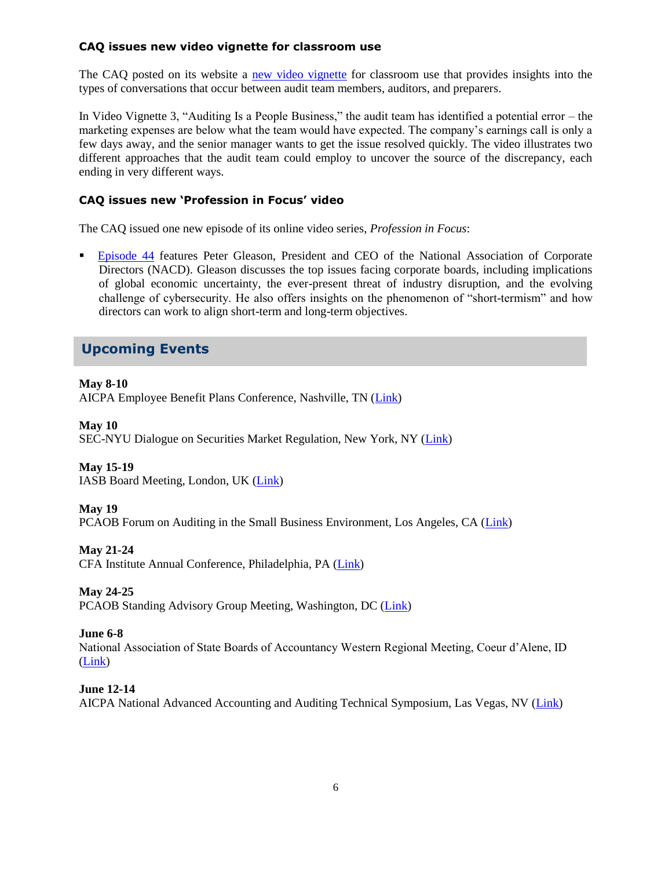#### **CAQ issues new video vignette for classroom use**

The CAQ posted on its website a [new video vignette](http://www.thecaq.org/video-vignettes-classroom-and-training-resources) for classroom use that provides insights into the types of conversations that occur between audit team members, auditors, and preparers.

In Video Vignette 3, "Auditing Is a People Business," the audit team has identified a potential error – the marketing expenses are below what the team would have expected. The company's earnings call is only a few days away, and the senior manager wants to get the issue resolved quickly. The video illustrates two different approaches that the audit team could employ to uncover the source of the discrepancy, each ending in very different ways.

#### **CAQ issues new 'Profession in Focus' video**

The CAQ issued one new episode of its online video series, *Profession in Focus*:

 [Episode 44](https://www.youtube.com/watch?v=uEpbkA2VPTU&feature=youtu.be) features Peter Gleason, President and CEO of the National Association of Corporate Directors (NACD). Gleason discusses the top issues facing corporate boards, including implications of global economic uncertainty, the ever-present threat of industry disruption, and the evolving challenge of cybersecurity. He also offers insights on the phenomenon of "short-termism" and how directors can work to align short-term and long-term objectives.

## **Upcoming Events**

#### **May 8-10**

AICPA Employee Benefit Plans Conference, Nashville, TN [\(Link\)](http://www.aicpastore.com/EmployeeBenefitPlans/aicpa-employee-benefit-plans-conference/PRDOVR~PC-EMPBEN/PC-EMPBEN.jsp)

#### **May 10**

SEC-NYU Dialogue on Securities Market Regulation, New York, NY [\(Link\)](https://www.sec.gov/dera/announcement/deraevent-051017reviving-us-ipo-market-0)

#### **May 15-19**

IASB Board Meeting, London, UK [\(Link\)](http://www.ifrs.org/Meetings/Pages/IASB-Meeting-May-2017.aspx)

#### **May 19**

PCAOB Forum on Auditing in the Small Business Environment, Los Angeles, CA [\(Link\)](https://pcaobus.org/News/Events/Pages/05192017-Small-Business-Forum-Los-Angeles.aspx)

#### **May 21-24**

CFA Institute Annual Conference, Philadelphia, PA [\(Link\)](https://www.cfainstitute.org/learning/events/Pages/05212017_121269.aspx)

#### **May 24-25**

PCAOB Standing Advisory Group Meeting, Washington, DC [\(Link\)](https://pcaobus.org/News/Events/Pages/SAG-meeting-May-2017.aspx)

#### **June 6-8**

National Association of State Boards of Accountancy Western Regional Meeting, Coeur d'Alene, ID [\(Link\)](https://www.nasba.org/blog/2011/01/26/2017westernregional/)

#### **June 12-14**

AICPA National Advanced Accounting and Auditing Technical Symposium, Las Vegas, NV [\(Link\)](http://www.aicpastore.com/AST/Main/CPA2BIZ_Primary/AuditAttest/PRDOVR~PC-NAA/PC-NAA.jsp)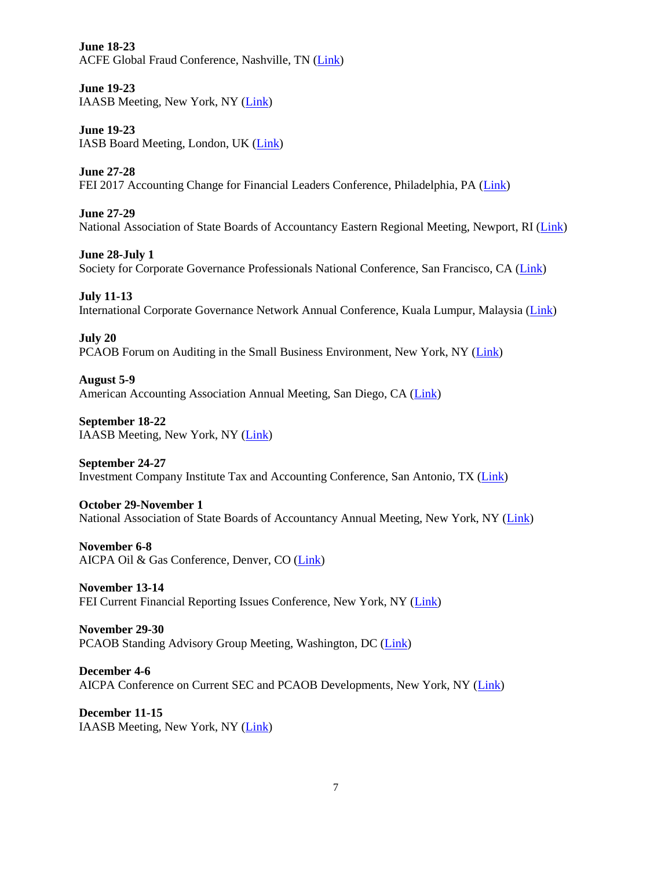**June 18-23** ACFE Global Fraud Conference, Nashville, TN [\(Link\)](http://www.fraudconference.com/)

**June 19-23** IAASB Meeting, New York, NY [\(Link\)](http://www.iaasb.org/meetings/new-york-usa-15)

**June 19-23** IASB Board Meeting, London, UK [\(Link\)](http://www.ifrs.org/Meetings/Pages/IASB-Meeting-June-2017.aspx)

**June 27-28** FEI 2017 Accounting Change for Financial Leaders Conference, Philadelphia, PA [\(Link\)](https://www.financialexecutives.org/Events/Conferences/Accounting-Changes-Everything-You-Need-to-Know.aspx)

**June 27-29** National Association of State Boards of Accountancy Eastern Regional Meeting, Newport, RI [\(Link\)](https://www.nasba.org/blog/2011/01/26/2017easternregional/)

**June 28-July 1** Society for Corporate Governance Professionals National Conference, San Francisco, CA [\(Link\)](http://www.societycorpgov.org/governanceprofessionals/events/eventdescription?CalendarEventKey=851a8b9c-fb04-4269-8b94-9b7e9fd7b46c&EventTypeKey=9e2ded4f-5bc1-4948-9fce-5d6e00640a66&Home=/governanceprofessionals/events/calendar)

**July 11-13** International Corporate Governance Network Annual Conference, Kuala Lumpur, Malaysia [\(Link\)](https://www.icgn.org/events/icgn-annual-conference-2017-kuala-lumpur)

**July 20** PCAOB Forum on Auditing in the Small Business Environment, New York, NY [\(Link\)](https://pcaobus.org/News/Events/Pages/07202017-Small-Business-Forum-New-York.aspx)

**August 5-9** American Accounting Association Annual Meeting, San Diego, CA [\(Link\)](http://aaahq.org/Meetings/2017/Annual-Meeting)

**September 18-22** IAASB Meeting, New York, NY [\(Link\)](http://www.iaasb.org/meetings/new-york-usa-16)

**September 24-27** Investment Company Institute Tax and Accounting Conference, San Antonio, TX [\(Link\)](https://www.ici.org/events)

**October 29-November 1** National Association of State Boards of Accountancy Annual Meeting, New York, NY [\(Link\)](https://www.nasba.org/blog/2011/01/25/annualmeeting2017/)

**November 6-8** AICPA Oil & Gas Conference, Denver, CO [\(Link\)](http://www.aicpastore.com/ManagementAccounting/aicpa-oil---gas-conference/PRDOVR~PC-OIL/PC-OIL.jsp)

**November 13-14** FEI Current Financial Reporting Issues Conference, New York, NY [\(Link\)](https://www.financialexecutives.org/Events/Conferences/Current-Financial-Reporting-Issues-Conference-Nove.aspx)

**November 29-30** PCAOB Standing Advisory Group Meeting, Washington, DC [\(Link\)](https://pcaobus.org/News/Events/Pages/SAG-meeting-Nov-2017.aspx)

**December 4-6** AICPA Conference on Current SEC and PCAOB Developments, New York, NY [\(Link\)](http://www.aicpastore.com/InternationalAccounting/aicpa-conference-on-current-sec-and-pcaob-developm/PRDOVR~PC-SECNY/PC-SECNY.jsp)

**December 11-15** IAASB Meeting, New York, NY [\(Link\)](http://www.iaasb.org/meetings/new-york-usa-17)